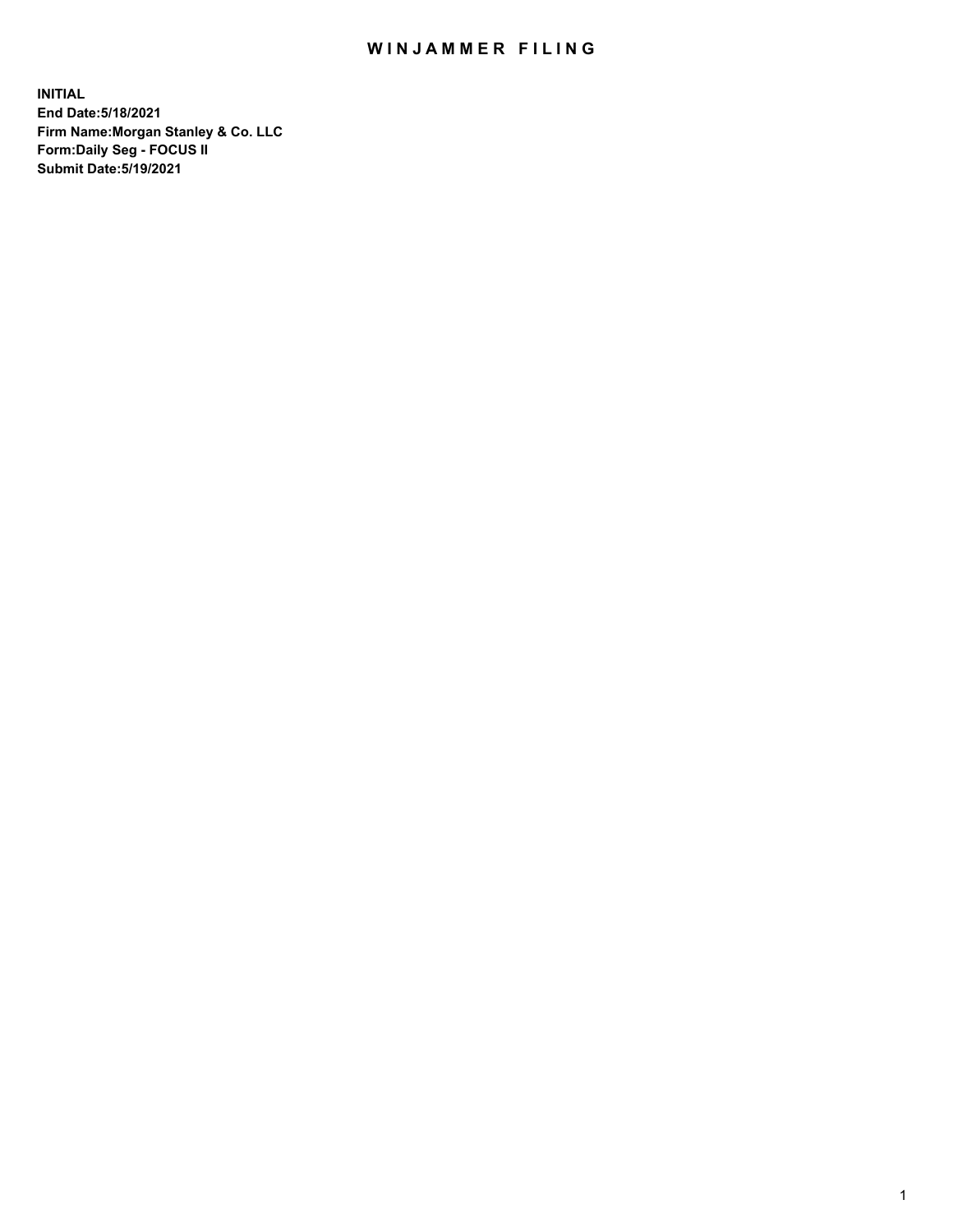## WIN JAMMER FILING

**INITIAL End Date:5/18/2021 Firm Name:Morgan Stanley & Co. LLC Form:Daily Seg - FOCUS II Submit Date:5/19/2021**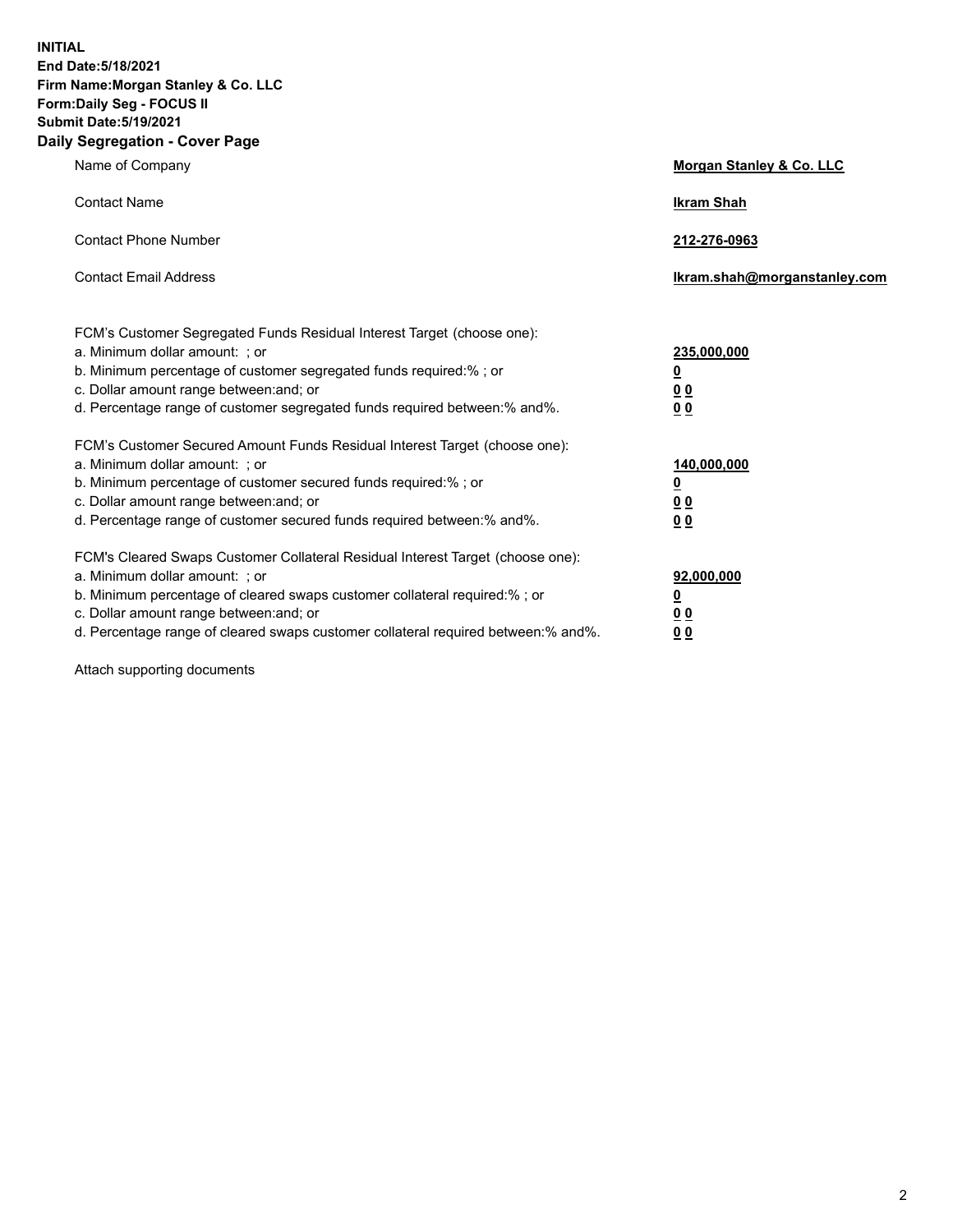**INITIAL End Date:5/18/2021 Firm Name:Morgan Stanley & Co. LLC Form:Daily Seg - FOCUS II Submit Date:5/19/2021 Daily Segregation - Cover Page**

| Name of Company                                                                                                                                                                                                                                                                                                                | <b>Morgan Stanley &amp; Co. LLC</b>                         |
|--------------------------------------------------------------------------------------------------------------------------------------------------------------------------------------------------------------------------------------------------------------------------------------------------------------------------------|-------------------------------------------------------------|
| <b>Contact Name</b>                                                                                                                                                                                                                                                                                                            | <b>Ikram Shah</b>                                           |
| <b>Contact Phone Number</b>                                                                                                                                                                                                                                                                                                    | 212-276-0963                                                |
| <b>Contact Email Address</b>                                                                                                                                                                                                                                                                                                   | Ikram.shah@morganstanley.com                                |
| FCM's Customer Segregated Funds Residual Interest Target (choose one):<br>a. Minimum dollar amount: ; or<br>b. Minimum percentage of customer segregated funds required:%; or<br>c. Dollar amount range between: and; or<br>d. Percentage range of customer segregated funds required between:% and%.                          | 235,000,000<br><u>0</u><br>0 <sub>0</sub><br>0 <sub>0</sub> |
| FCM's Customer Secured Amount Funds Residual Interest Target (choose one):<br>a. Minimum dollar amount: ; or<br>b. Minimum percentage of customer secured funds required:%; or<br>c. Dollar amount range between: and; or<br>d. Percentage range of customer secured funds required between:% and%.                            | 140,000,000<br><u>0</u><br>0 <sub>0</sub><br>0 <sub>0</sub> |
| FCM's Cleared Swaps Customer Collateral Residual Interest Target (choose one):<br>a. Minimum dollar amount: ; or<br>b. Minimum percentage of cleared swaps customer collateral required:% ; or<br>c. Dollar amount range between: and; or<br>d. Percentage range of cleared swaps customer collateral required between:% and%. | 92,000,000<br><u>0</u><br><u>00</u><br>00                   |

Attach supporting documents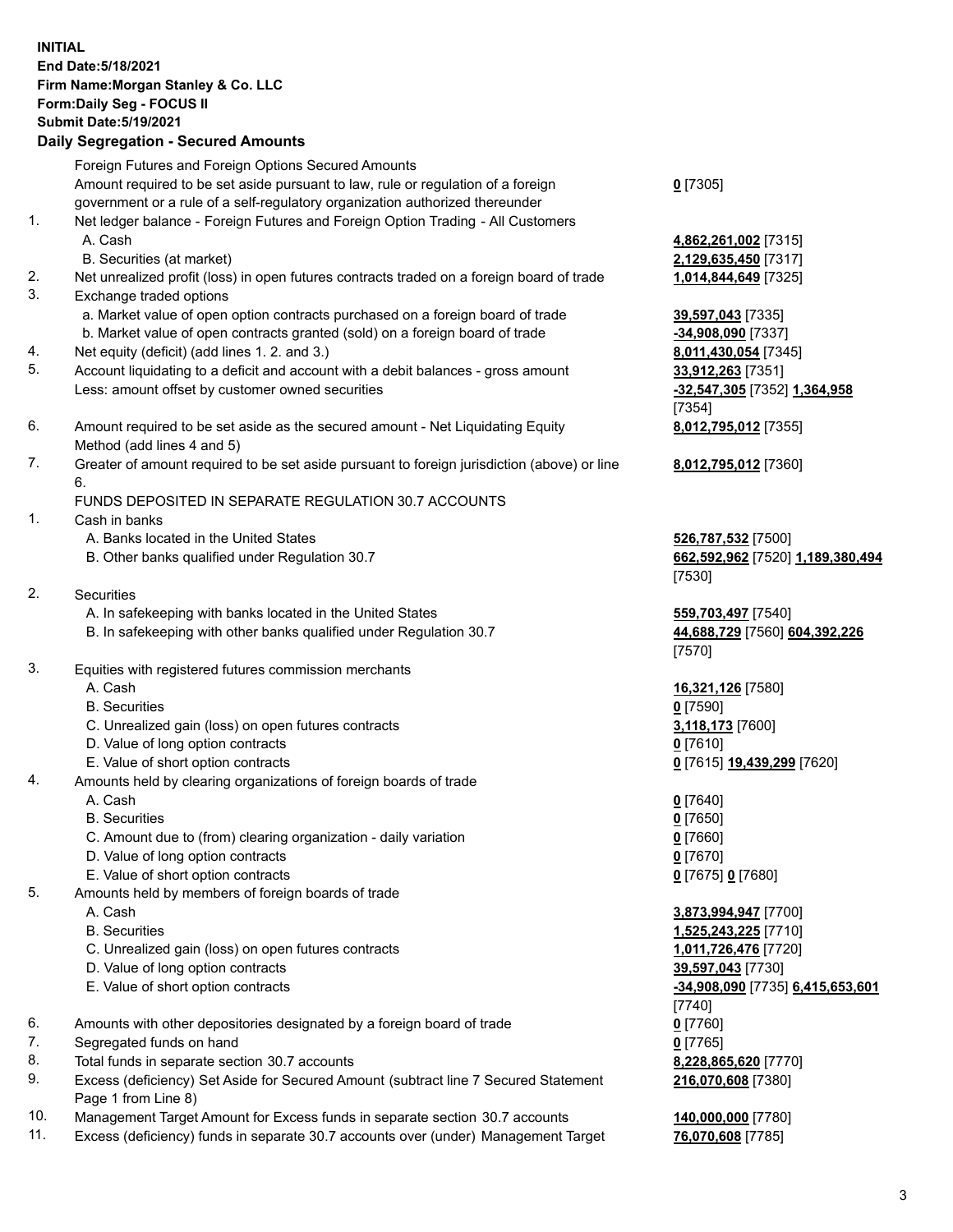## **INITIAL End Date:5/18/2021 Firm Name:Morgan Stanley & Co. LLC Form:Daily Seg - FOCUS II Submit Date:5/19/2021**

**Daily Segregation - Secured Amounts** Foreign Futures and Foreign Options Secured Amounts Amount required to be set aside pursuant to law, rule or regulation of a foreign government or a rule of a self-regulatory organization authorized thereunder 1. Net ledger balance - Foreign Futures and Foreign Option Trading - All Customers A. Cash **4,862,261,002** [7315] B. Securities (at market) **2,129,635,450** [7317] 2. Net unrealized profit (loss) in open futures contracts traded on a foreign board of trade **1,014,844,649** [7325] 3. Exchange traded options a. Market value of open option contracts purchased on a foreign board of trade **39,597,043** [7335] b. Market value of open contracts granted (sold) on a foreign board of trade **-34,908,090** [7337] 4. Net equity (deficit) (add lines 1. 2. and 3.) **8,011,430,054** [7345] 5. Account liquidating to a deficit and account with a debit balances - gross amount **33,912,263** [7351] Less: amount offset by customer owned securities **-32,547,305** [7352] **1,364,958** 6. Amount required to be set aside as the secured amount - Net Liquidating Equity Method (add lines 4 and 5) 7. Greater of amount required to be set aside pursuant to foreign jurisdiction (above) or line 6. FUNDS DEPOSITED IN SEPARATE REGULATION 30.7 ACCOUNTS 1. Cash in banks A. Banks located in the United States **526,787,532** [7500] B. Other banks qualified under Regulation 30.7 **662,592,962** [7520] **1,189,380,494** 2. Securities A. In safekeeping with banks located in the United States **559,703,497** [7540] B. In safekeeping with other banks qualified under Regulation 30.7 **44,688,729** [7560] **604,392,226** 3. Equities with registered futures commission merchants A. Cash **16,321,126** [7580] B. Securities **0** [7590] C. Unrealized gain (loss) on open futures contracts **3,118,173** [7600] D. Value of long option contracts **0** [7610] E. Value of short option contracts **0** [7615] **19,439,299** [7620] 4. Amounts held by clearing organizations of foreign boards of trade A. Cash **0** [7640] B. Securities **0** [7650] C. Amount due to (from) clearing organization - daily variation **0** [7660] D. Value of long option contracts **0** [7670] E. Value of short option contracts **0** [7675] **0** [7680] 5. Amounts held by members of foreign boards of trade A. Cash **3,873,994,947** [7700] B. Securities **1,525,243,225** [7710] C. Unrealized gain (loss) on open futures contracts **1,011,726,476** [7720] D. Value of long option contracts **39,597,043** [7730]

- 
- 6. Amounts with other depositories designated by a foreign board of trade **0** [7760]
- 7. Segregated funds on hand **0** [7765]
- 8. Total funds in separate section 30.7 accounts **8,228,865,620** [7770]
- 9. Excess (deficiency) Set Aside for Secured Amount (subtract line 7 Secured Statement Page 1 from Line 8)
- 10. Management Target Amount for Excess funds in separate section 30.7 accounts **140,000,000** [7780]
- 11. Excess (deficiency) funds in separate 30.7 accounts over (under) Management Target **76,070,608** [7785]

| æ<br>л.<br>ı<br>r |  |
|-------------------|--|
|-------------------|--|

[7354] **8,012,795,012** [7355]

**8,012,795,012** [7360]

[7530]

[7570]

 E. Value of short option contracts **-34,908,090** [7735] **6,415,653,601** [7740] **216,070,608** [7380]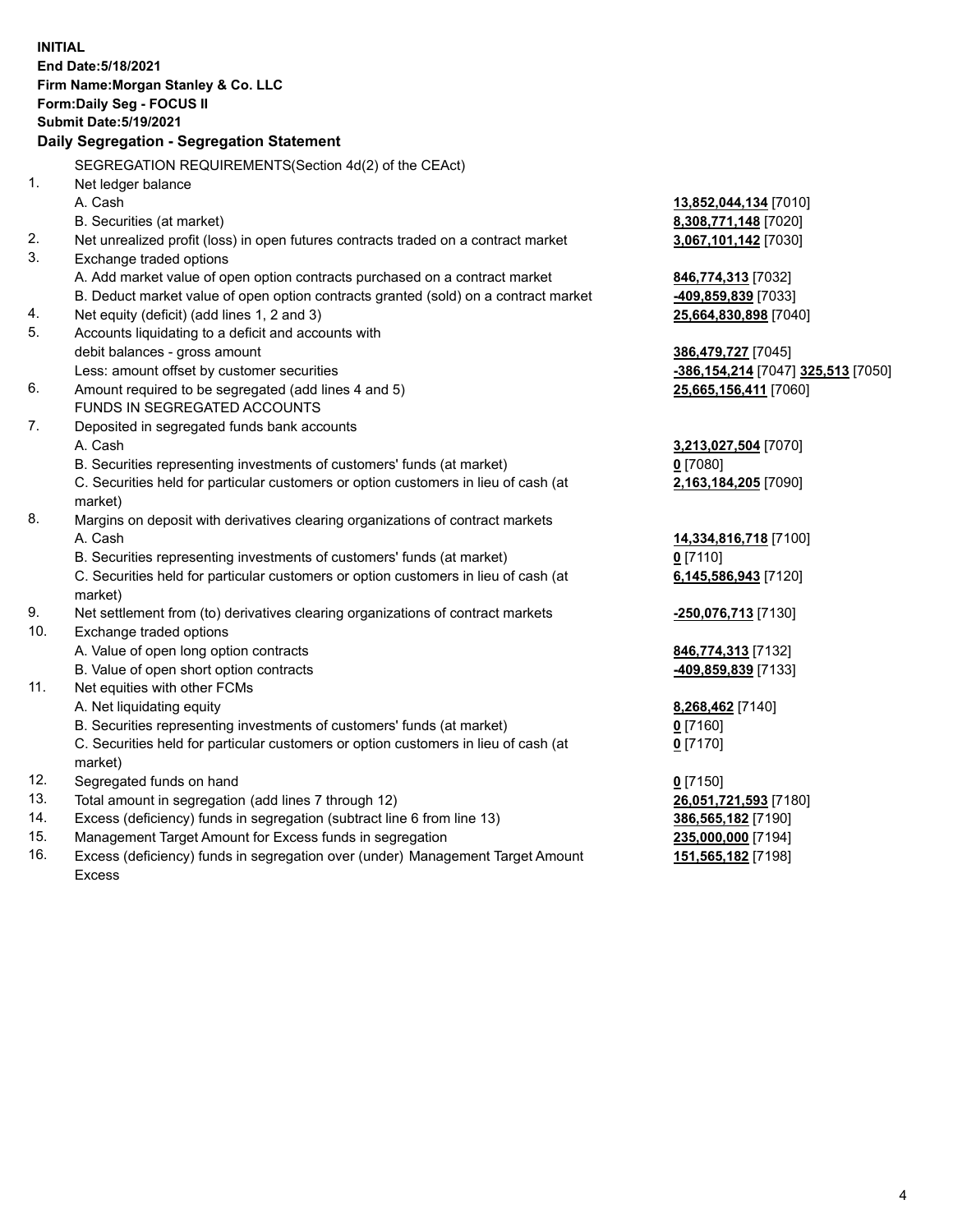**INITIAL End Date:5/18/2021 Firm Name:Morgan Stanley & Co. LLC Form:Daily Seg - FOCUS II Submit Date:5/19/2021 Daily Segregation - Segregation Statement** SEGREGATION REQUIREMENTS(Section 4d(2) of the CEAct) 1. Net ledger balance A. Cash **13,852,044,134** [7010] B. Securities (at market) **8,308,771,148** [7020] 2. Net unrealized profit (loss) in open futures contracts traded on a contract market **3,067,101,142** [7030] 3. Exchange traded options A. Add market value of open option contracts purchased on a contract market **846,774,313** [7032] B. Deduct market value of open option contracts granted (sold) on a contract market **-409,859,839** [7033] 4. Net equity (deficit) (add lines 1, 2 and 3) **25,664,830,898** [7040] 5. Accounts liquidating to a deficit and accounts with debit balances - gross amount **386,479,727** [7045] Less: amount offset by customer securities **-386,154,214** [7047] **325,513** [7050] 6. Amount required to be segregated (add lines 4 and 5) **25,665,156,411** [7060] FUNDS IN SEGREGATED ACCOUNTS 7. Deposited in segregated funds bank accounts A. Cash **3,213,027,504** [7070] B. Securities representing investments of customers' funds (at market) **0** [7080] C. Securities held for particular customers or option customers in lieu of cash (at market) **2,163,184,205** [7090] 8. Margins on deposit with derivatives clearing organizations of contract markets A. Cash **14,334,816,718** [7100] B. Securities representing investments of customers' funds (at market) **0** [7110] C. Securities held for particular customers or option customers in lieu of cash (at market) **6,145,586,943** [7120] 9. Net settlement from (to) derivatives clearing organizations of contract markets **-250,076,713** [7130] 10. Exchange traded options A. Value of open long option contracts **846,774,313** [7132] B. Value of open short option contracts **-409,859,839** [7133] 11. Net equities with other FCMs A. Net liquidating equity **8,268,462** [7140] B. Securities representing investments of customers' funds (at market) **0** [7160] C. Securities held for particular customers or option customers in lieu of cash (at market) **0** [7170] 12. Segregated funds on hand **0** [7150] 13. Total amount in segregation (add lines 7 through 12) **26,051,721,593** [7180] 14. Excess (deficiency) funds in segregation (subtract line 6 from line 13) **386,565,182** [7190] 15. Management Target Amount for Excess funds in segregation **235,000,000** [7194]

16. Excess (deficiency) funds in segregation over (under) Management Target Amount Excess

**151,565,182** [7198]